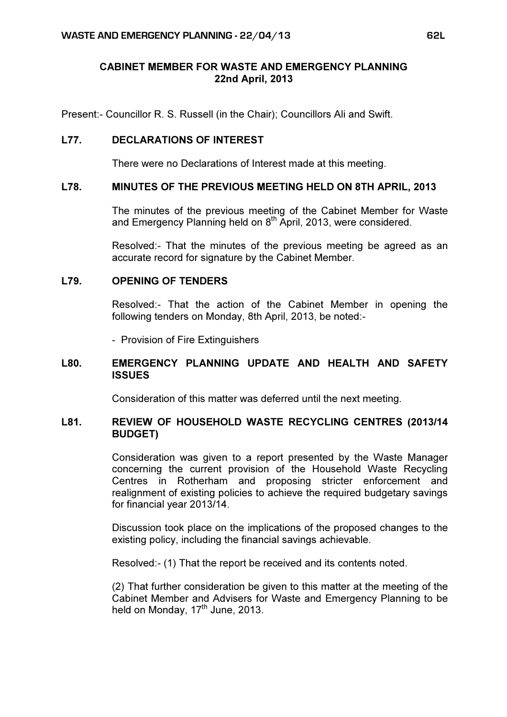# CABINET MEMBER FOR WASTE AND EMERGENCY PLANNING 22nd April, 2013

Present:- Councillor R. S. Russell (in the Chair); Councillors Ali and Swift.

### L77. DECLARATIONS OF INTEREST

There were no Declarations of Interest made at this meeting.

#### L78. MINUTES OF THE PREVIOUS MEETING HELD ON 8TH APRIL, 2013

 The minutes of the previous meeting of the Cabinet Member for Waste and Emergency Planning held on 8<sup>th</sup> April, 2013, were considered.

Resolved:- That the minutes of the previous meeting be agreed as an accurate record for signature by the Cabinet Member.

#### L79. OPENING OF TENDERS

 Resolved:- That the action of the Cabinet Member in opening the following tenders on Monday, 8th April, 2013, be noted:-

- Provision of Fire Extinguishers

## L80. EMERGENCY PLANNING UPDATE AND HEALTH AND SAFETY **ISSUES**

Consideration of this matter was deferred until the next meeting.

#### L81. REVIEW OF HOUSEHOLD WASTE RECYCLING CENTRES (2013/14 BUDGET)

 Consideration was given to a report presented by the Waste Manager concerning the current provision of the Household Waste Recycling Centres in Rotherham and proposing stricter enforcement and realignment of existing policies to achieve the required budgetary savings for financial year 2013/14.

Discussion took place on the implications of the proposed changes to the existing policy, including the financial savings achievable.

Resolved:- (1) That the report be received and its contents noted.

(2) That further consideration be given to this matter at the meeting of the Cabinet Member and Advisers for Waste and Emergency Planning to be held on Monday, 17<sup>th</sup> June, 2013.